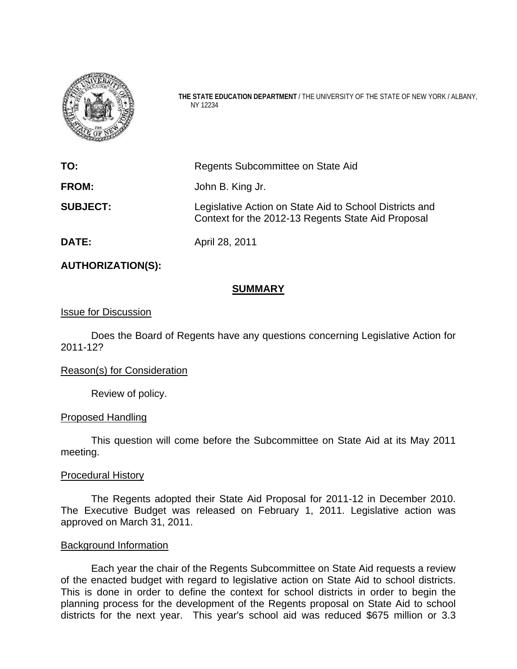

**THE STATE EDUCATION DEPARTMENT** / THE UNIVERSITY OF THE STATE OF NEW YORK / ALBANY, NY 12234

| TO:             | Regents Subcommittee on State Aid                                                                             |  |
|-----------------|---------------------------------------------------------------------------------------------------------------|--|
| <b>FROM:</b>    | John B. King Jr.                                                                                              |  |
| <b>SUBJECT:</b> | Legislative Action on State Aid to School Districts and<br>Context for the 2012-13 Regents State Aid Proposal |  |
| <b>DATE:</b>    | April 28, 2011                                                                                                |  |

#### **AUTHORIZATION(S):**

#### **SUMMARY**

#### Issue for Discussion

Does the Board of Regents have any questions concerning Legislative Action for 2011-12?

#### Reason(s) for Consideration

Review of policy.

#### Proposed Handling

This question will come before the Subcommittee on State Aid at its May 2011 meeting.

#### Procedural History

The Regents adopted their State Aid Proposal for 2011-12 in December 2010. The Executive Budget was released on February 1, 2011. Legislative action was approved on March 31, 2011.

#### Background Information

Each year the chair of the Regents Subcommittee on State Aid requests a review of the enacted budget with regard to legislative action on State Aid to school districts. This is done in order to define the context for school districts in order to begin the planning process for the development of the Regents proposal on State Aid to school districts for the next year. This year's school aid was reduced \$675 million or 3.3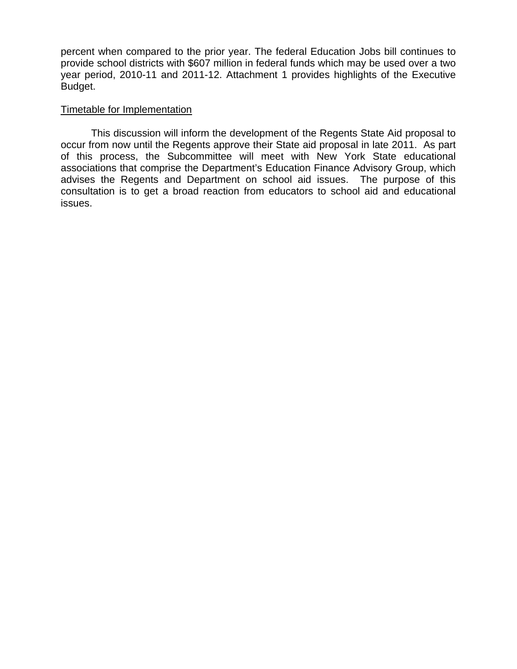percent when compared to the prior year. The federal Education Jobs bill continues to provide school districts with \$607 million in federal funds which may be used over a two year period, 2010-11 and 2011-12. Attachment 1 provides highlights of the Executive Budget.

#### Timetable for Implementation

This discussion will inform the development of the Regents State Aid proposal to occur from now until the Regents approve their State aid proposal in late 2011. As part of this process, the Subcommittee will meet with New York State educational associations that comprise the Department's Education Finance Advisory Group, which advises the Regents and Department on school aid issues. The purpose of this consultation is to get a broad reaction from educators to school aid and educational issues.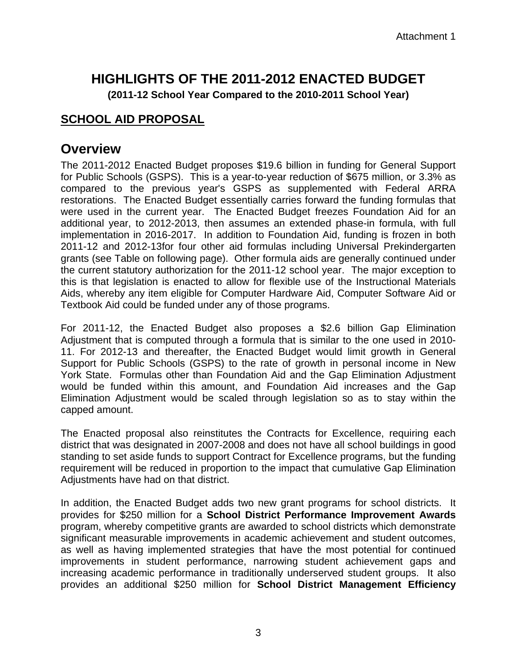# **HIGHLIGHTS OF THE 2011-2012 ENACTED BUDGET**

**(2011-12 School Year Compared to the 2010-2011 School Year)** 

### **SCHOOL AID PROPOSAL**

### **Overview**

The 2011-2012 Enacted Budget proposes \$19.6 billion in funding for General Support for Public Schools (GSPS). This is a year-to-year reduction of \$675 million, or 3.3% as compared to the previous year's GSPS as supplemented with Federal ARRA restorations. The Enacted Budget essentially carries forward the funding formulas that were used in the current year. The Enacted Budget freezes Foundation Aid for an additional year, to 2012-2013, then assumes an extended phase-in formula, with full implementation in 2016-2017. In addition to Foundation Aid, funding is frozen in both 2011-12 and 2012-13for four other aid formulas including Universal Prekindergarten grants (see Table on following page). Other formula aids are generally continued under the current statutory authorization for the 2011-12 school year. The major exception to this is that legislation is enacted to allow for flexible use of the Instructional Materials Aids, whereby any item eligible for Computer Hardware Aid, Computer Software Aid or Textbook Aid could be funded under any of those programs.

For 2011-12, the Enacted Budget also proposes a \$2.6 billion Gap Elimination Adjustment that is computed through a formula that is similar to the one used in 2010- 11. For 2012-13 and thereafter, the Enacted Budget would limit growth in General Support for Public Schools (GSPS) to the rate of growth in personal income in New York State. Formulas other than Foundation Aid and the Gap Elimination Adjustment would be funded within this amount, and Foundation Aid increases and the Gap Elimination Adjustment would be scaled through legislation so as to stay within the capped amount.

The Enacted proposal also reinstitutes the Contracts for Excellence, requiring each district that was designated in 2007-2008 and does not have all school buildings in good standing to set aside funds to support Contract for Excellence programs, but the funding requirement will be reduced in proportion to the impact that cumulative Gap Elimination Adjustments have had on that district.

In addition, the Enacted Budget adds two new grant programs for school districts. It provides for \$250 million for a **School District Performance Improvement Awards** program, whereby competitive grants are awarded to school districts which demonstrate significant measurable improvements in academic achievement and student outcomes, as well as having implemented strategies that have the most potential for continued improvements in student performance, narrowing student achievement gaps and increasing academic performance in traditionally underserved student groups. It also provides an additional \$250 million for **School District Management Efficiency**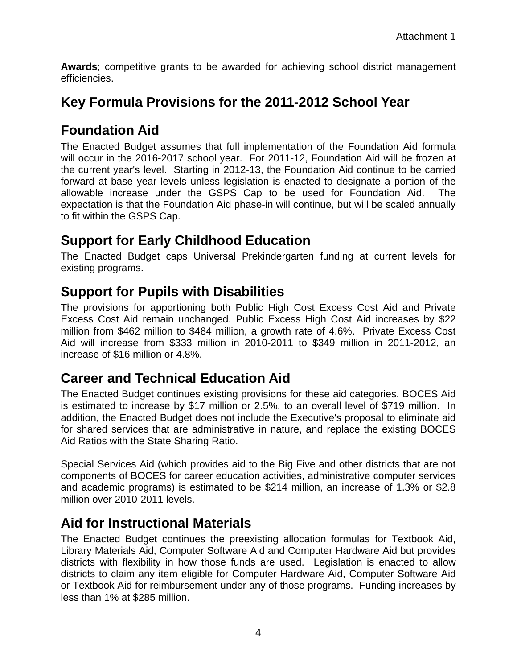**Awards**; competitive grants to be awarded for achieving school district management efficiencies.

## **Key Formula Provisions for the 2011-2012 School Year**

## **Foundation Aid**

The Enacted Budget assumes that full implementation of the Foundation Aid formula will occur in the 2016-2017 school year. For 2011-12, Foundation Aid will be frozen at the current year's level. Starting in 2012-13, the Foundation Aid continue to be carried forward at base year levels unless legislation is enacted to designate a portion of the allowable increase under the GSPS Cap to be used for Foundation Aid. The expectation is that the Foundation Aid phase-in will continue, but will be scaled annually to fit within the GSPS Cap.

### **Support for Early Childhood Education**

The Enacted Budget caps Universal Prekindergarten funding at current levels for existing programs.

### **Support for Pupils with Disabilities**

The provisions for apportioning both Public High Cost Excess Cost Aid and Private Excess Cost Aid remain unchanged. Public Excess High Cost Aid increases by \$22 million from \$462 million to \$484 million, a growth rate of 4.6%. Private Excess Cost Aid will increase from \$333 million in 2010-2011 to \$349 million in 2011-2012, an increase of \$16 million or 4.8%.

### **Career and Technical Education Aid**

The Enacted Budget continues existing provisions for these aid categories. BOCES Aid is estimated to increase by \$17 million or 2.5%, to an overall level of \$719 million. In addition, the Enacted Budget does not include the Executive's proposal to eliminate aid for shared services that are administrative in nature, and replace the existing BOCES Aid Ratios with the State Sharing Ratio.

Special Services Aid (which provides aid to the Big Five and other districts that are not components of BOCES for career education activities, administrative computer services and academic programs) is estimated to be \$214 million, an increase of 1.3% or \$2.8 million over 2010-2011 levels.

### **Aid for Instructional Materials**

The Enacted Budget continues the preexisting allocation formulas for Textbook Aid, Library Materials Aid, Computer Software Aid and Computer Hardware Aid but provides districts with flexibility in how those funds are used. Legislation is enacted to allow districts to claim any item eligible for Computer Hardware Aid, Computer Software Aid or Textbook Aid for reimbursement under any of those programs. Funding increases by less than 1% at \$285 million.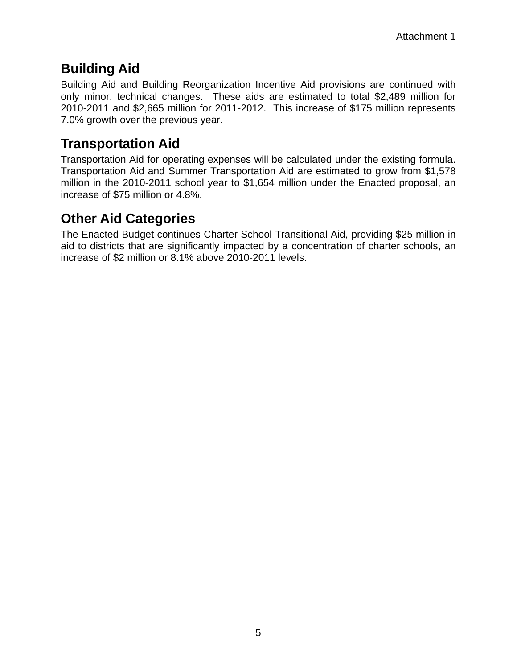## **Building Aid**

Building Aid and Building Reorganization Incentive Aid provisions are continued with only minor, technical changes. These aids are estimated to total \$2,489 million for 2010-2011 and \$2,665 million for 2011-2012. This increase of \$175 million represents 7.0% growth over the previous year.

## **Transportation Aid**

Transportation Aid for operating expenses will be calculated under the existing formula. Transportation Aid and Summer Transportation Aid are estimated to grow from \$1,578 million in the 2010-2011 school year to \$1,654 million under the Enacted proposal, an increase of \$75 million or 4.8%.

## **Other Aid Categories**

The Enacted Budget continues Charter School Transitional Aid, providing \$25 million in aid to districts that are significantly impacted by a concentration of charter schools, an increase of \$2 million or 8.1% above 2010-2011 levels.